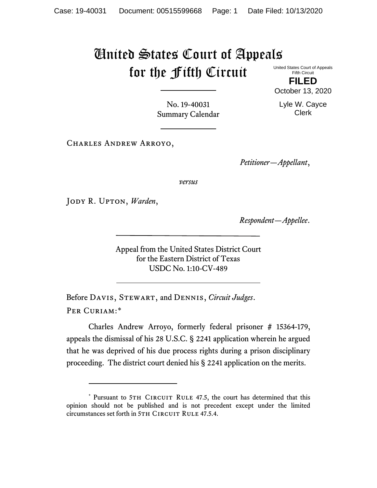## United States Court of Appeals for the Fifth Circuit United States Court of Appeals

Fifth Circuit **FILED**

Clerk

No. 19-40031 Summary Calendar

Charles Andrew Arroyo,

*Petitioner—Appellant*,

*versus*

Jody R. Upton, *Warden*,

*Respondent—Appellee*.

Appeal from the United States District Court for the Eastern District of Texas USDC No. 1:10-CV-489

Before Davis, Stewart, and Dennis, *Circuit Judges*. Per Curiam:[\\*](#page-0-0)

Charles Andrew Arroyo, formerly federal prisoner # 15364-179, appeals the dismissal of his 28 U.S.C. § 2241 application wherein he argued that he was deprived of his due process rights during a prison disciplinary proceeding. The district court denied his § 2241 application on the merits.



<span id="page-0-0"></span><sup>\*</sup> Pursuant to 5TH CIRCUIT RULE 47.5, the court has determined that this opinion should not be published and is not precedent except under the limited circumstances set forth in 5TH CIRCUIT RULE 47.5.4.